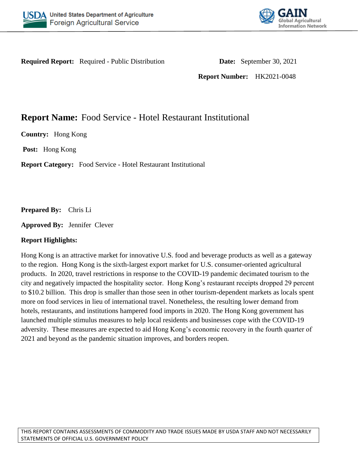



**Required Report:** Required - Public Distribution **Date:** September 30, 2021

**Report Number:** HK2021-0048

# **Report Name:** Food Service - Hotel Restaurant Institutional

**Country:** Hong Kong

**Post:** Hong Kong

**Report Category:** Food Service - Hotel Restaurant Institutional

**Prepared By:** Chris Li

**Approved By:** Jennifer Clever

### **Report Highlights:**

Hong Kong is an attractive market for innovative U.S. food and beverage products as well as a gateway to the region. Hong Kong is the sixth-largest export market for U.S. consumer-oriented agricultural products. In 2020, travel restrictions in response to the COVID-19 pandemic decimated tourism to the city and negatively impacted the hospitality sector. Hong Kong's restaurant receipts dropped 29 percent to \$10.2 billion. This drop is smaller than those seen in other tourism-dependent markets as locals spent more on food services in lieu of international travel. Nonetheless, the resulting lower demand from hotels, restaurants, and institutions hampered food imports in 2020. The Hong Kong government has launched multiple stimulus measures to help local residents and businesses cope with the COVID-19 adversity. These measures are expected to aid Hong Kong's economic recovery in the fourth quarter of 2021 and beyond as the pandemic situation improves, and borders reopen.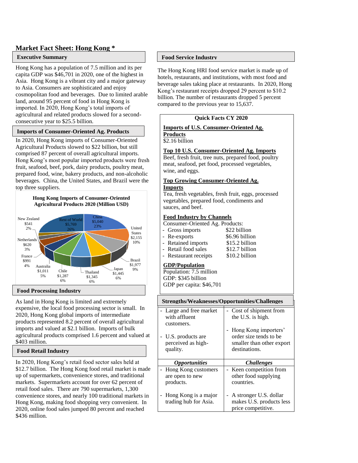#### **Market Fact Sheet: Hong Kong \***

#### **Executive Summary**

Hong Kong has a population of 7.5 million and its per capita GDP was \$46,701 in 2020, one of the highest in Asia. Hong Kong is a vibrant city and a major gateway to Asia. Consumers are sophisticated and enjoy cosmopolitan food and beverages. Due to limited arable land, around 95 percent of food in Hong Kong is imported. In 2020, Hong Kong's total imports of agricultural and related products slowed for a secondconsecutive year to \$25.5 billion.

#### **Imports of Consumer-Oriented Ag. Products**

In 2020, Hong Kong imports of Consumer-Oriented Agricultural Products slowed to \$22 billion, but still comprised 87 percent of overall agricultural imports. Hong Kong's most popular imported products were fresh fruit, seafood, beef, pork, dairy products, poultry meat, prepared food, wine, bakery products, and non-alcoholic beverages. China, the United States, and Brazil were the top three suppliers.



#### **Food Processing Industry**

As land in Hong Kong is limited and extremely expensive, the local food processing sector is small. In 2020, Hong Kong global imports of intermediate products represented 8.2 percent of overall agricultural imports and valued at \$2.1 billion. Imports of bulk agricultural products comprised 1.6 percent and valued at \$403 million.

#### **Food Retail Industry**

In 2020, Hong Kong's retail food sector sales held at \$12.7 billion. The Hong Kong food retail market is made up of supermarkets, convenience stores, and traditional markets. Supermarkets account for over 62 percent of retail food sales. There are 790 supermarkets, 1,300 convenience stores, and nearly 100 traditional markets in Hong Kong, making food shopping very convenient. In 2020, online food sales jumped 80 percent and reached \$436 million.

#### **Food Service Industry**

The Hong Kong HRI food service market is made up of hotels, restaurants, and institutions, with most food and beverage sales taking place at restaurants. In 2020, Hong Kong's restaurant receipts dropped 29 percent to \$10.2 billion. The number of restaurants dropped 5 percent compared to the previous year to 15,637.

#### **Quick Facts CY 2020**

#### **Imports of U.S. Consumer-Oriented Ag.**

**Products** \$2.16 billion

#### **Top 10 U.S. Consumer-Oriented Ag. Imports**

Beef, fresh fruit, tree nuts, prepared food, poultry meat, seafood, pet food, processed vegetables, wine, and eggs.

#### **Top Growing Consumer-Oriented Ag. Imports**

Tea, fresh vegetables, fresh fruit, eggs, processed vegetables, prepared food, condiments and sauces, and beef.

#### **Food Industry by Channels**

Consumer-Oriented Ag. Products:

| - Gross imports       | \$22 billion   |
|-----------------------|----------------|
| - Re-exports          | \$6.96 billion |
| - Retained imports    | \$15.2 billion |
| - Retail food sales   | \$12.7 billion |
| - Restaurant receipts | \$10.2 billion |

#### **GDP/Population**

Population: 7.5 million GDP: \$345 billion GDP per capita: \$46,701

#### **Strengths/Weaknesses/Opportunities/Challenges**

| Large and free market<br>with affluent<br>customers.<br>U.S. products are<br>perceived as high-<br>quality. | - Cost of shipment from<br>the U.S. is high.<br>Hong Kong importers'<br>order size tends to be<br>smaller than other export<br>destinations. |
|-------------------------------------------------------------------------------------------------------------|----------------------------------------------------------------------------------------------------------------------------------------------|
|                                                                                                             |                                                                                                                                              |
| <i><b>Opportunities</b></i>                                                                                 | <b>Challenges</b>                                                                                                                            |
| Hong Kong customers<br>are open to new<br>products.                                                         | - Keen competition from<br>other food supplying<br>countries.                                                                                |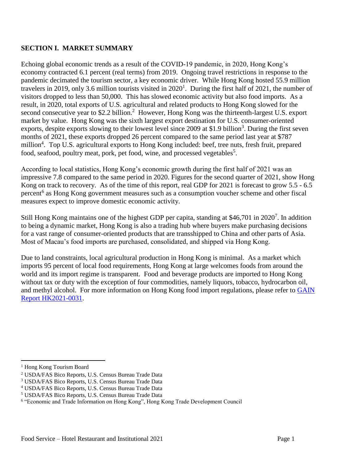## **SECTION I. MARKET SUMMARY**

Echoing global economic trends as a result of the COVID-19 pandemic, in 2020, Hong Kong's economy contracted 6.1 percent (real terms) from 2019. Ongoing travel restrictions in response to the pandemic decimated the tourism sector, a key economic driver. While Hong Kong hosted 55.9 million travelers in 2019, only 3.6 million tourists visited in  $2020<sup>1</sup>$ . During the first half of 2021, the number of visitors dropped to less than 50,000. This has slowed economic activity but also food imports. As a result, in 2020, total exports of U.S. agricultural and related products to Hong Kong slowed for the second consecutive year to \$2.2 billion.<sup>2</sup> However, Hong Kong was the thirteenth-largest U.S. export market by value. Hong Kong was the sixth largest export destination for U.S. consumer-oriented exports, despite exports slowing to their lowest level since 2009 at \$1.9 billion<sup>3</sup>. During the first seven months of 2021, these exports dropped 26 percent compared to the same period last year at \$787 million<sup>4</sup>. Top U.S. agricultural exports to Hong Kong included: beef, tree nuts, fresh fruit, prepared food, seafood, poultry meat, pork, pet food, wine, and processed vegetables<sup>5</sup>.

According to local statistics, Hong Kong's economic growth during the first half of 2021 was an impressive 7.8 compared to the same period in 2020. Figures for the second quarter of 2021, show Hong Kong on track to recovery. As of the time of this report, real GDP for 2021 is forecast to grow 5.5 - 6.5 percent<sup>6</sup> as Hong Kong government measures such as a consumption voucher scheme and other fiscal measures expect to improve domestic economic activity.

Still Hong Kong maintains one of the highest GDP per capita, standing at \$46,701 in 2020<sup>7</sup>. In addition to being a dynamic market, Hong Kong is also a trading hub where buyers make purchasing decisions for a vast range of consumer-oriented products that are transshipped to China and other parts of Asia. Most of Macau's food imports are purchased, consolidated, and shipped via Hong Kong.

Due to land constraints, local agricultural production in Hong Kong is minimal. As a market which imports 95 percent of local food requirements, Hong Kong at large welcomes foods from around the world and its import regime is transparent. Food and beverage products are imported to Hong Kong without tax or duty with the exception of four commodities, namely liquors, tobacco, hydrocarbon oil, and methyl alcohol. For more information on Hong Kong food import regulations, please refer to GAIN [Report HK2021-0031.](https://www.usfoods-hongkong.net/wps/wp-content/uploads/Food-and-Agricultural-Import-Regulations-and-Standards-Country-Report_Hong-Kong_Hong-Kong_06-30-2021.pdf)

 $\overline{\phantom{a}}$ 

<sup>1</sup> Hong Kong Tourism Board

<sup>2</sup> USDA/FAS Bico Reports, U.S. Census Bureau Trade Data

<sup>3</sup> USDA/FAS Bico Reports, U.S. Census Bureau Trade Data

<sup>4</sup> USDA/FAS Bico Reports, U.S. Census Bureau Trade Data

<sup>5</sup> USDA/FAS Bico Reports, U.S. Census Bureau Trade Data

<sup>&</sup>lt;sup>6</sup> "Economic and Trade Information on Hong Kong", Hong Kong Trade Development Council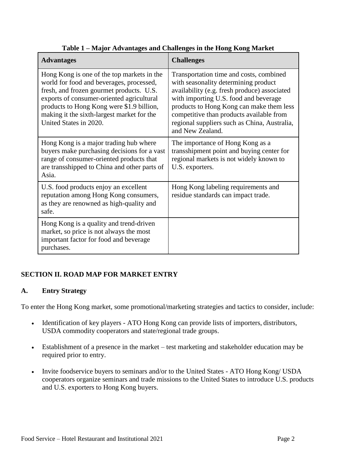| <b>Advantages</b>                                                                                                                                                                                                                                                                                    | <b>Challenges</b>                                                                                                                                                                                                                                                                                                                    |
|------------------------------------------------------------------------------------------------------------------------------------------------------------------------------------------------------------------------------------------------------------------------------------------------------|--------------------------------------------------------------------------------------------------------------------------------------------------------------------------------------------------------------------------------------------------------------------------------------------------------------------------------------|
| Hong Kong is one of the top markets in the<br>world for food and beverages, processed,<br>fresh, and frozen gourmet products. U.S.<br>exports of consumer-oriented agricultural<br>products to Hong Kong were \$1.9 billion,<br>making it the sixth-largest market for the<br>United States in 2020. | Transportation time and costs, combined<br>with seasonality determining product<br>availability (e.g. fresh produce) associated<br>with importing U.S. food and beverage<br>products to Hong Kong can make them less<br>competitive than products available from<br>regional suppliers such as China, Australia,<br>and New Zealand. |
| Hong Kong is a major trading hub where<br>buyers make purchasing decisions for a vast<br>range of consumer-oriented products that<br>are transshipped to China and other parts of<br>Asia.                                                                                                           | The importance of Hong Kong as a<br>transshipment point and buying center for<br>regional markets is not widely known to<br>U.S. exporters.                                                                                                                                                                                          |
| U.S. food products enjoy an excellent<br>reputation among Hong Kong consumers,<br>as they are renowned as high-quality and<br>safe.                                                                                                                                                                  | Hong Kong labeling requirements and<br>residue standards can impact trade.                                                                                                                                                                                                                                                           |
| Hong Kong is a quality and trend-driven<br>market, so price is not always the most<br>important factor for food and beverage<br>purchases.                                                                                                                                                           |                                                                                                                                                                                                                                                                                                                                      |

| Table 1 – Major Advantages and Challenges in the Hong Kong Market |  |  |
|-------------------------------------------------------------------|--|--|
|                                                                   |  |  |

# **SECTION II. ROAD MAP FOR MARKET ENTRY**

### **A. Entry Strategy**

To enter the Hong Kong market, some promotional/marketing strategies and tactics to consider, include:

- Identification of key players ATO Hong Kong can provide lists of importers, distributors, USDA commodity cooperators and state/regional trade groups.
- Establishment of a presence in the market test marketing and stakeholder education may be required prior to entry.
- Invite foodservice buyers to seminars and/or to the United States ATO Hong Kong/ USDA cooperators organize seminars and trade missions to the United States to introduce U.S. products and U.S. exporters to Hong Kong buyers.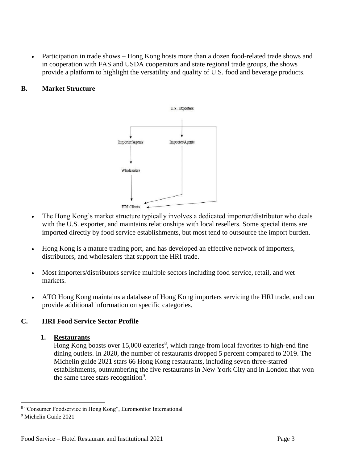Participation in trade shows – Hong Kong hosts more than a dozen food-related trade shows and in cooperation with FAS and USDA cooperators and state regional trade groups, the shows provide a platform to highlight the versatility and quality of U.S. food and beverage products.

# **B. Market Structure**



- The Hong Kong's market structure typically involves a dedicated importer/distributor who deals with the U.S. exporter, and maintains relationships with local resellers. Some special items are imported directly by food service establishments, but most tend to outsource the import burden.
- Hong Kong is a mature trading port, and has developed an effective network of importers, distributors, and wholesalers that support the HRI trade.
- Most importers/distributors service multiple sectors including food service, retail, and wet markets.
- ATO Hong Kong maintains a database of Hong Kong importers servicing the HRI trade, and can provide additional information on specific categories.

# **C. HRI Food Service Sector Profile**

# **1. Restaurants**

Hong Kong boasts over  $15,000$  eateries<sup>8</sup>, which range from local favorites to high-end fine dining outlets. In 2020, the number of restaurants dropped 5 percent compared to 2019. The Michelin guide 2021 stars 66 Hong Kong restaurants, including seven three-starred establishments, outnumbering the five restaurants in New York City and in London that won the same three stars recognition<sup>9</sup>.

<sup>&</sup>lt;sup>8</sup> "Consumer Foodservice in Hong Kong", Euromonitor International

<sup>9</sup> Michelin Guide 2021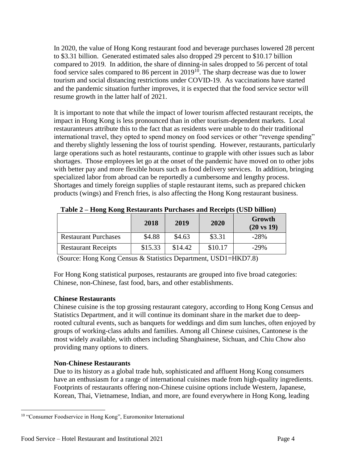In 2020, the value of Hong Kong restaurant food and beverage purchases lowered 28 percent to \$3.31 billion. Generated estimated sales also dropped 29 percent to \$10.17 billion compared to 2019. In addition, the share of dinning-in sales dropped to 56 percent of total food service sales compared to 86 percent in  $2019^{10}$ . The sharp decrease was due to lower tourism and social distancing restrictions under COVID-19. As vaccinations have started and the pandemic situation further improves, it is expected that the food service sector will resume growth in the latter half of 2021.

It is important to note that while the impact of lower tourism affected restaurant receipts, the impact in Hong Kong is less pronounced than in other tourism-dependent markets. Local restauranteurs attribute this to the fact that as residents were unable to do their traditional international travel, they opted to spend money on food services or other "revenge spending" and thereby slightly lessening the loss of tourist spending. However, restaurants, particularly large operations such as hotel restaurants, continue to grapple with other issues such as labor shortages. Those employees let go at the onset of the pandemic have moved on to other jobs with better pay and more flexible hours such as food delivery services. In addition, bringing specialized labor from abroad can be reportedly a cumbersome and lengthy process. Shortages and timely foreign supplies of staple restaurant items, such as prepared chicken products (wings) and French fries, is also affecting the Hong Kong restaurant business.

|                             | 2018    | 2019    | 2020    | Growth<br>$(20 \text{ vs } 19)$ |
|-----------------------------|---------|---------|---------|---------------------------------|
| <b>Restaurant Purchases</b> | \$4.88  | \$4.63  | \$3.31  | $-28%$                          |
| <b>Restaurant Receipts</b>  | \$15.33 | \$14.42 | \$10.17 | $-29%$                          |

**Table 2 – Hong Kong Restaurants Purchases and Receipts (USD billion)**

(Source: Hong Kong Census & Statistics Department, USD1=HKD7.8)

For Hong Kong statistical purposes, restaurants are grouped into five broad categories: Chinese, non-Chinese, fast food, bars, and other establishments.

### **Chinese Restaurants**

Chinese cuisine is the top grossing restaurant category, according to Hong Kong Census and Statistics Department, and it will continue its dominant share in the market due to deeprooted cultural events, such as banquets for weddings and dim sum lunches, often enjoyed by groups of working-class adults and families. Among all Chinese cuisines, Cantonese is the most widely available, with others including Shanghainese, Sichuan, and Chiu Chow also providing many options to diners.

# **Non-Chinese Restaurants**

Due to its history as a global trade hub, sophisticated and affluent Hong Kong consumers have an enthusiasm for a range of international cuisines made from high-quality ingredients. Footprints of restaurants offering non-Chinese cuisine options include Western, Japanese, Korean, Thai, Vietnamese, Indian, and more, are found everywhere in Hong Kong, leading

l <sup>10</sup> "Consumer Foodservice in Hong Kong", Euromonitor International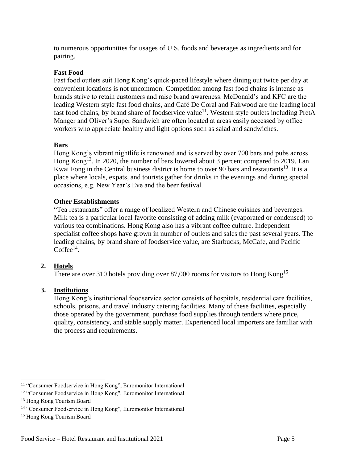to numerous opportunities for usages of U.S. foods and beverages as ingredients and for pairing.

### **Fast Food**

Fast food outlets suit Hong Kong's quick-paced lifestyle where dining out twice per day at convenient locations is not uncommon. Competition among fast food chains is intense as brands strive to retain customers and raise brand awareness. McDonald's and KFC are the leading Western style fast food chains, and Café De Coral and Fairwood are the leading local fast food chains, by brand share of foodservice value<sup>11</sup>. Western style outlets including PretA Manger and Oliver's Super Sandwich are often located at areas easily accessed by office workers who appreciate healthy and light options such as salad and sandwiches.

### **Bars**

Hong Kong's vibrant nightlife is renowned and is served by over 700 bars and pubs across Hong Kong<sup>12</sup>. In 2020, the number of bars lowered about 3 percent compared to 2019. Lan Kwai Fong in the Central business district is home to over 90 bars and restaurants<sup>13</sup>. It is a place where locals, expats, and tourists gather for drinks in the evenings and during special occasions, e.g. New Year's Eve and the beer festival.

### **Other Establishments**

"Tea restaurants" offer a range of localized Western and Chinese cuisines and beverages. Milk tea is a particular local favorite consisting of adding milk (evaporated or condensed) to various tea combinations. Hong Kong also has a vibrant coffee culture. Independent specialist coffee shops have grown in number of outlets and sales the past several years. The leading chains, by brand share of foodservice value, are Starbucks, McCafe, and Pacific  $Coffee^{14}$ .

### **2. Hotels**

There are over 310 hotels providing over 87,000 rooms for visitors to Hong Kong<sup>15</sup>.

### **3. Institutions**

Hong Kong's institutional foodservice sector consists of hospitals, residential care facilities, schools, prisons, and travel industry catering facilities. Many of these facilities, especially those operated by the government, purchase food supplies through tenders where price, quality, consistency, and stable supply matter. Experienced local importers are familiar with the process and requirements.

l <sup>11</sup> "Consumer Foodservice in Hong Kong", Euromonitor International

<sup>&</sup>lt;sup>12</sup> "Consumer Foodservice in Hong Kong", Euromonitor International

<sup>&</sup>lt;sup>13</sup> Hong Kong Tourism Board

<sup>14</sup> "Consumer Foodservice in Hong Kong", Euromonitor International

<sup>15</sup> Hong Kong Tourism Board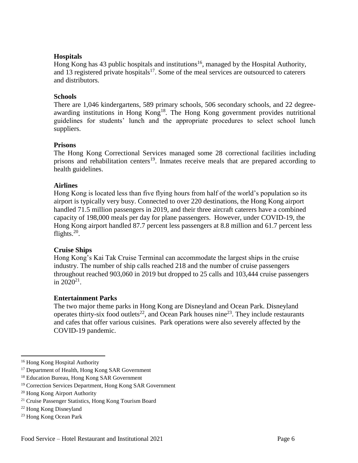### **Hospitals**

Hong Kong has 43 public hospitals and institutions<sup>16</sup>, managed by the Hospital Authority, and 13 registered private hospitals<sup>17</sup>. Some of the meal services are outsourced to caterers and distributors.

### **Schools**

There are 1,046 kindergartens, 589 primary schools, 506 secondary schools, and 22 degreeawarding institutions in Hong Kong<sup>18</sup>. The Hong Kong government provides nutritional guidelines for students' lunch and the appropriate procedures to select school lunch suppliers.

### **Prisons**

The Hong Kong Correctional Services managed some 28 correctional facilities including prisons and rehabilitation centers<sup>19</sup>. Inmates receive meals that are prepared according to health guidelines.

### **Airlines**

Hong Kong is located less than five flying hours from half of the world's population so its airport is typically very busy. Connected to over 220 destinations, the Hong Kong airport handled 71.5 million passengers in 2019, and their three aircraft caterers have a combined capacity of 198,000 meals per day for plane passengers. However, under COVID-19, the Hong Kong airport handled 87.7 percent less passengers at 8.8 million and 61.7 percent less flights. $20$ .

#### **Cruise Ships**

Hong Kong's Kai Tak Cruise Terminal can accommodate the largest ships in the cruise industry. The number of ship calls reached 218 and the number of cruise passengers throughout reached 903,060 in 2019 but dropped to 25 calls and 103,444 cruise passengers in  $2020^{21}$ .

#### **Entertainment Parks**

The two major theme parks in Hong Kong are Disneyland and Ocean Park. Disneyland operates thirty-six food outlets<sup>22</sup>, and Ocean Park houses nine<sup>23</sup>. They include restaurants and cafes that offer various cuisines. Park operations were also severely affected by the COVID-19 pandemic.

l

<sup>16</sup> Hong Kong Hospital Authority

<sup>&</sup>lt;sup>17</sup> Department of Health, Hong Kong SAR Government

<sup>&</sup>lt;sup>18</sup> Education Bureau, Hong Kong SAR Government

<sup>19</sup> Correction Services Department, Hong Kong SAR Government

<sup>20</sup> Hong Kong Airport Authority

<sup>21</sup> Cruise Passenger Statistics, Hong Kong Tourism Board

<sup>22</sup> Hong Kong Disneyland

<sup>23</sup> Hong Kong Ocean Park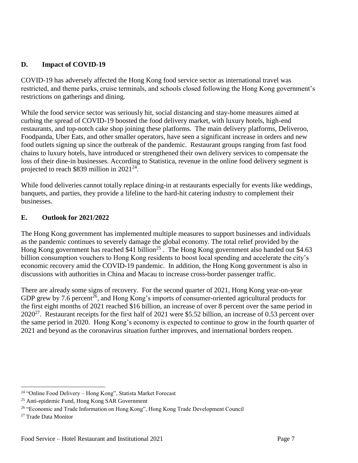### **D. Impact of COVID-19**

COVID-19 has adversely affected the Hong Kong food service sector as international travel was restricted, and theme parks, cruise terminals, and schools closed following the Hong Kong government's restrictions on gatherings and dining.

While the food service sector was seriously hit, social distancing and stay-home measures aimed at curbing the spread of COVID-19 boosted the food delivery market, with luxury hotels, high-end restaurants, and top-notch cake shop joining these platforms. The main delivery platforms, Deliveroo, Foodpanda, Uber Eats, and other smaller operators, have seen a significant increase in orders and new food outlets signing up since the outbreak of the pandemic. Restaurant groups ranging from fast food chains to luxury hotels, have introduced or strengthened their own delivery services to compensate the loss of their dine-in businesses. According to Statistica, revenue in the online food delivery segment is projected to reach \$839 million in  $2021^{24}$ .

While food deliveries cannot totally replace dining-in at restaurants especially for events like weddings, banquets, and parties, they provide a lifeline to the hard-hit catering industry to complement their businesses.

### **E. Outlook for 2021/2022**

The Hong Kong government has implemented multiple measures to support businesses and individuals as the pandemic continues to severely damage the global economy. The total relief provided by the Hong Kong government has reached \$41 billion<sup>25</sup>. The Hong Kong government also handed out \$4.63 billion consumption vouchers to Hong Kong residents to boost local spending and accelerate the city's economic recovery amid the COVID-19 pandemic. In addition, the Hong Kong government is also in discussions with authorities in China and Macau to increase cross-border passenger traffic.

There are already some signs of recovery. For the second quarter of 2021, Hong Kong year-on-year GDP grew by 7.6 percent<sup>26</sup>, and Hong Kong's imports of consumer-oriented agricultural products for the first eight months of 2021 reached \$16 billion, an increase of over 8 percent over the same period in  $2020^{27}$ . Restaurant receipts for the first half of 2021 were \$5.52 billion, an increase of 0.53 percent over the same period in 2020. Hong Kong's economy is expected to continue to grow in the fourth quarter of 2021 and beyond as the coronavirus situation further improves, and international borders reopen.

 $\overline{\phantom{a}}$ 

<sup>24</sup> "Online Food Delivery – Hong Kong", Statista Market Forecast

<sup>25</sup> Anti-epidemic Fund, Hong Kong SAR Government

<sup>&</sup>lt;sup>26</sup> "Economic and Trade Information on Hong Kong", Hong Kong Trade Development Council

<sup>27</sup> Trade Data Monitor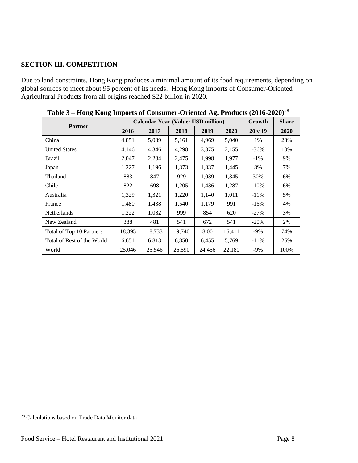# **SECTION III. COMPETITION**

Due to land constraints, Hong Kong produces a minimal amount of its food requirements, depending on global sources to meet about 95 percent of its needs. Hong Kong imports of Consumer-Oriented Agricultural Products from all origins reached \$22 billion in 2020.

| Table $3 - 110$ lig Ixolig Hilpot is of Consumer-Oriented Ag. 1 Founcis (2010-2020) |                                           |        |        |        |        |         |              |
|-------------------------------------------------------------------------------------|-------------------------------------------|--------|--------|--------|--------|---------|--------------|
|                                                                                     | <b>Calendar Year (Value: USD million)</b> |        |        |        |        | Growth  | <b>Share</b> |
| <b>Partner</b>                                                                      | 2016                                      | 2017   | 2018   | 2019   | 2020   | 20 v 19 | 2020         |
| China                                                                               | 4,851                                     | 5,089  | 5,161  | 4,969  | 5,040  | 1%      | 23%          |
| <b>United States</b>                                                                | 4,146                                     | 4,346  | 4,298  | 3,375  | 2,155  | $-36%$  | 10%          |
| <b>Brazil</b>                                                                       | 2,047                                     | 2,234  | 2,475  | 1,998  | 1,977  | $-1\%$  | 9%           |
| Japan                                                                               | 1,227                                     | 1,196  | 1,373  | 1,337  | 1,445  | 8%      | 7%           |
| Thailand                                                                            | 883                                       | 847    | 929    | 1,039  | 1,345  | 30%     | 6%           |
| Chile                                                                               | 822                                       | 698    | 1,205  | 1,436  | 1,287  | $-10\%$ | 6%           |
| Australia                                                                           | 1,329                                     | 1,321  | 1,220  | 1,140  | 1,011  | $-11\%$ | 5%           |
| France                                                                              | 1,480                                     | 1,438  | 1,540  | 1,179  | 991    | $-16%$  | 4%           |
| Netherlands                                                                         | 1,222                                     | 1,082  | 999    | 854    | 620    | $-27%$  | 3%           |
| New Zealand                                                                         | 388                                       | 481    | 541    | 672    | 541    | $-20\%$ | 2%           |
| Total of Top 10 Partners                                                            | 18,395                                    | 18,733 | 19,740 | 18,001 | 16,411 | -9%     | 74%          |
| Total of Rest of the World                                                          | 6,651                                     | 6,813  | 6,850  | 6,455  | 5,769  | $-11\%$ | 26%          |
| World                                                                               | 25,046                                    | 25,546 | 26,590 | 24,456 | 22,180 | -9%     | 100%         |

**Table 3 – Hong Kong Imports of Consumer-Oriented Ag. Products (2016-2020)**<sup>28</sup>

 $\overline{\phantom{a}}$ 

<sup>28</sup> Calculations based on Trade Data Monitor data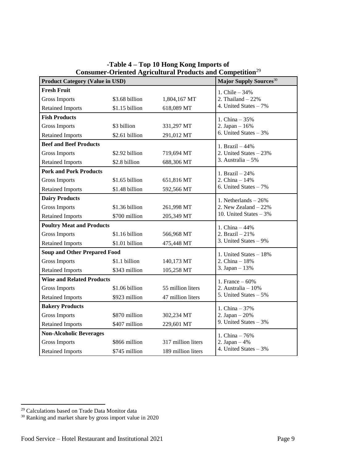| Consumer-Oriented Agricultural Products and Competition                                                       |                                    |                    |                          |  |  |  |  |
|---------------------------------------------------------------------------------------------------------------|------------------------------------|--------------------|--------------------------|--|--|--|--|
| <b>Product Category (Value in USD)</b>                                                                        | Major Supply Sources <sup>30</sup> |                    |                          |  |  |  |  |
| <b>Fresh Fruit</b>                                                                                            | 1. Chile $-34%$                    |                    |                          |  |  |  |  |
| <b>Gross Imports</b>                                                                                          | \$3.68 billion                     | 1,804,167 MT       | 2. Thailand $-22%$       |  |  |  |  |
| <b>Retained Imports</b>                                                                                       | \$1.15 billion<br>618,089 MT       |                    | 4. United States - 7%    |  |  |  |  |
| <b>Fish Products</b>                                                                                          |                                    |                    | 1. China $-35%$          |  |  |  |  |
| <b>Gross Imports</b>                                                                                          | \$3 billion                        | 331,297 MT         | 2. Japan $-16%$          |  |  |  |  |
| <b>Retained Imports</b>                                                                                       | \$2.61 billion                     | 291,012 MT         | 6. United States $-3\%$  |  |  |  |  |
| <b>Beef and Beef Products</b>                                                                                 |                                    |                    | 1. Brazil $-44%$         |  |  |  |  |
| <b>Gross Imports</b>                                                                                          | \$2.92 billion                     | 719,694 MT         | 2. United States $-23%$  |  |  |  |  |
| <b>Retained Imports</b>                                                                                       | \$2.8 billion                      | 688,306 MT         | 3. Australia $-5%$       |  |  |  |  |
| <b>Pork and Pork Products</b>                                                                                 |                                    |                    | 1. Brazil - 24%          |  |  |  |  |
| <b>Gross Imports</b>                                                                                          | \$1.65 billion                     | 651,816 MT         | 2. China $-14%$          |  |  |  |  |
| <b>Retained Imports</b>                                                                                       | \$1.48 billion                     | 592,566 MT         | 6. United States $-7\%$  |  |  |  |  |
| <b>Dairy Products</b>                                                                                         |                                    |                    | 1. Netherlands $-26%$    |  |  |  |  |
| <b>Gross Imports</b>                                                                                          | \$1.36 billion                     | 261,998 MT         | 2. New Zealand $-22%$    |  |  |  |  |
| <b>Retained Imports</b>                                                                                       | \$700 million                      | 205,349 MT         | 10. United States $-3\%$ |  |  |  |  |
| <b>Poultry Meat and Products</b>                                                                              | 1. China $-44%$                    |                    |                          |  |  |  |  |
| <b>Gross Imports</b><br>\$1.16 billion<br><b>Retained Imports</b><br>\$1.01 billion                           |                                    | 566,968 MT         | 2. Brazil $-21%$         |  |  |  |  |
|                                                                                                               |                                    | 475,448 MT         | 3. United States $-9\%$  |  |  |  |  |
| <b>Soup and Other Prepared Food</b>                                                                           | 1. United States - 18%             |                    |                          |  |  |  |  |
| <b>Gross Imports</b>                                                                                          | \$1.1 billion                      | 140,173 MT         | 2. China $-18%$          |  |  |  |  |
| \$343 million<br><b>Retained Imports</b>                                                                      |                                    | 105,258 MT         | 3. Japan - 13%           |  |  |  |  |
| <b>Wine and Related Products</b>                                                                              | 1. France $-60%$                   |                    |                          |  |  |  |  |
| <b>Gross Imports</b>                                                                                          | \$1.06 billion                     | 55 million liters  | 2. Australia $-10\%$     |  |  |  |  |
| <b>Retained Imports</b>                                                                                       | \$923 million<br>47 million liters |                    | 5. United States - 5%    |  |  |  |  |
| <b>Bakery Products</b>                                                                                        | 1. China $-37%$                    |                    |                          |  |  |  |  |
| <b>Gross Imports</b><br>\$870 million<br>302,234 MT<br><b>Retained Imports</b><br>\$407 million<br>229,601 MT |                                    | 2. Japan $-20%$    |                          |  |  |  |  |
|                                                                                                               |                                    |                    | 9. United States $-3%$   |  |  |  |  |
| <b>Non-Alcoholic Beverages</b>                                                                                |                                    |                    | 1. China $-76%$          |  |  |  |  |
| <b>Gross Imports</b>                                                                                          | \$866 million                      | 317 million liters | 2. Japan $-4%$           |  |  |  |  |
| <b>Retained Imports</b>                                                                                       | \$745 million                      | 189 million liters | 4. United States $-3%$   |  |  |  |  |

**-Table 4 – Top 10 Hong Kong Imports of Consumer-Oriented Agricultural Products and Competition**<sup>29</sup>

 $\overline{a}$ 

<sup>&</sup>lt;sup>29</sup> Calculations based on Trade Data Monitor data

<sup>&</sup>lt;sup>30</sup> Ranking and market share by gross import value in 2020